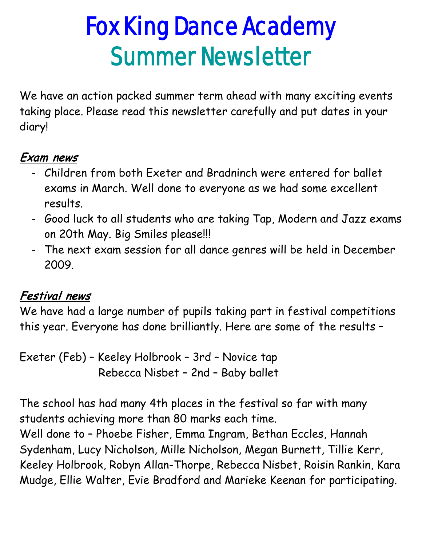# Fox King Dance Academy Summer Newsletter

We have an action packed summer term ahead with many exciting events taking place. Please read this newsletter carefully and put dates in your diary!

# Exam news

- Children from both Exeter and Bradninch were entered for ballet exams in March. Well done to everyone as we had some excellent results.
- Good luck to all students who are taking Tap, Modern and Jazz exams on 20th May. Big Smiles please!!!
- The next exam session for all dance genres will be held in December 2009.

#### Festival news

We have had a large number of pupils taking part in festival competitions this year. Everyone has done brilliantly. Here are some of the results –

Exeter (Feb) – Keeley Holbrook – 3rd – Novice tap Rebecca Nisbet – 2nd – Baby ballet

The school has had many 4th places in the festival so far with many students achieving more than 80 marks each time.

Well done to – Phoebe Fisher, Emma Ingram, Bethan Eccles, Hannah Sydenham, Lucy Nicholson, Mille Nicholson, Megan Burnett, Tillie Kerr, Keeley Holbrook, Robyn Allan-Thorpe, Rebecca Nisbet, Roisin Rankin, Kara Mudge, Ellie Walter, Evie Bradford and Marieke Keenan for participating.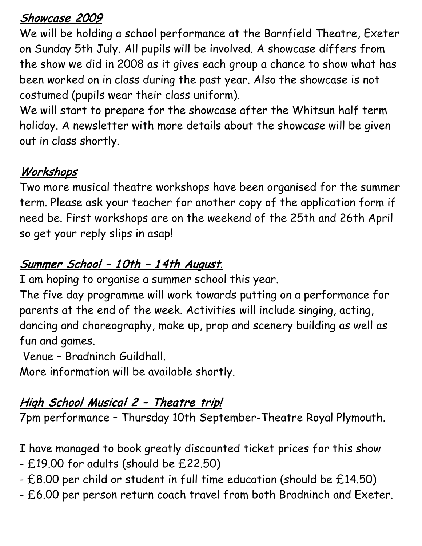#### Showcase 2009

We will be holding a school performance at the Barnfield Theatre, Exeter on Sunday 5th July. All pupils will be involved. A showcase differs from the show we did in 2008 as it gives each group a chance to show what has been worked on in class during the past year. Also the showcase is not costumed (pupils wear their class uniform).

We will start to prepare for the showcase after the Whitsun half term holiday. A newsletter with more details about the showcase will be given out in class shortly.

## Workshops

Two more musical theatre workshops have been organised for the summer term. Please ask your teacher for another copy of the application form if need be. First workshops are on the weekend of the 25th and 26th April so get your reply slips in asap!

# Summer School – 1 0th – 1 4th August.

I am hoping to organise a summer school this year.

The five day programme will work towards putting on a performance for parents at the end of the week. Activities will include singing, acting, dancing and choreography, make up, prop and scenery building as well as fun and games.

Venue – Bradninch Guildhall.

More information will be available shortly.

## High School Musical 2 - Theatre trip!

7pm performance – Thursday 10th September-Theatre Royal Plymouth.

I have managed to book greatly discounted ticket prices for this show

- £19.00 for adults (should be £22.50)
- £8.00 per child or student in full time education (should be £14.50)
- £6.00 per person return coach travel from both Bradninch and Exeter.